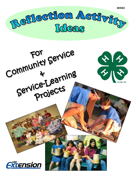

Community Service \* \* \* Service Learning *Extension*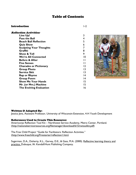### Table of Contents

| Introduction                   | $1-2$ |
|--------------------------------|-------|
| Reflection Activities:         |       |
| Line Up!                       | 3     |
| <b>Pass the Ball</b>           | 4     |
| <b>Beach Ball Reflection</b>   | 5     |
| <b>Quiz Show</b>               | 6     |
| <b>Sculpting Your Thoughts</b> | 7     |
| Graffiti                       | 8     |
| <b>Show &amp; Tell</b>         | 9     |
| <b>We're All Connected</b>     | 10    |
| <b>Before &amp; After</b>      |       |
| <b>Five Senses</b>             |       |
| <b>Charades or Pictionary</b>  | 12    |
| <b>Group Photo</b>             | 13    |
| <b>Service Skit</b>            | 13    |
| <b>Rap or Rhyme</b>            | 14    |
| <b>Group Poem</b>              | 14    |
| <b>Show Me Your Hands</b>      | 15    |
| Mr. (or Mrs.) Machine          | 15    |
| <b>The Evolving Evaluation</b> | 16    |



#### Written & Adapted By:

Jessica Jens, Assistant Professor, University of Wisconsin-Extension, 4-H Youth Development

#### References Used to Create This Resource:

Americorps Reflection Tool Kit – Northwest Service Academy, Metro Center, Portland. [\(http://nationalserviceresources.org/filemanager/download/615/nwtoolkit.pdf](http://nationalserviceresources.org/filemanager/download/615/nwtoolkit.pdf))

The Free Child Project "Guide for Facilitators: Reflection Activities." [\(http://www.freechild.org/Firestarter/reflection1.htm\)](http://www.freechild.org/Firestarter/reflection1.htm)

Sugerman, D.A., Doherty, K.L., Garvey, D.E., & Gass, M.A. (2000). Reflective learning theory and practice. Dubuque, IA: Kendall/Hunt Publishing Company.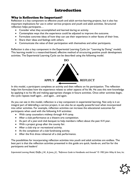# Introduction

### Why is Reflection So Important?

Reflection is a key component to effective youth and adult service-learning projects, but it also has important implications for use in other service projects and youth and adult activities. Structured reflection helps participants…

- Consider what they accomplished and learned during an activity.
- Contemplate ways that the experience could be adjusted to improve the outcome.
- Formulate concrete ideas of how they can use their experience in other facets of their lives.
- Share their ideas and feelings with others.
- Communicate the value of their participation with themselves and other participants.

Reflection is also a key component in the Experiential Learning Cycle (or "Learning by Doing" model). This learning model is a researched-based, effective method of structuring positive youth development activities. The Experiential Learning Cycle can be described using the following model.



In this model, a participant completes an activity and then reflects on his participation. The reflection helps him formulate how the experience relates to other aspects of his life. He uses this new knowledge by applying it to his life and making appropriate changes in future activities. Once other activities begin, the cycle repeats itself again…and again…and again.

As you can see in this model, reflection is a key component in experiential learning. Not only is it an integral part of debriefing a service project, it can also be an equally powerful tool when incorporated into other activities. For example, reflection activities can increase the educational outcomes for participants when used with the following 4-H activities:

- With camp counselors midway through 4-H camp.
- After a club performance at a theatre arts competition.
- As part of a year-end club banquet to help members reflect about the past 4-H year.
- With a project group after the county fair.
- After a club trip or recreational activity.
- At the completion of a club fundraising activity.
- After the first dress rehearsal of a club performance.

The possibilities for incorporating reflection activities into youth and adult activities are endless. The best part is that the reflection activities presented in this guide are quick, hands-on, and fun for the participants and leaders!

*Experiential Learning Model, Pfeiffer, J.W., & Jones, J.E., "Reference Guide to Handbooks and Annuals" © 1983 John Wiley & Sons, Inc.* 

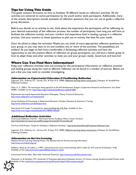### Tips for Using This Guide

This guide contains directions on how to facilitate 18 different hands-on reflection activities. All the activities are centered on active participation by the youth and/or adult participants. Additionally, many of the activity descriptions include examples of reflection questions that you can use to guide a reflective group discussion.

Before you decide on an activity to use, think about the experience the participants will be reflecting on, your desired outcome(s) of the reflection process, the number of participants, how long you will have to facilitate the reflection activity, and your comfort and experience level in leading a group in a reflective process. Use your answers to these questions to pick out an activity that best fits your needs.

Don't be afraid to adapt the activities! Maybe you can think of more appropriate reflective questions for your group, or you may want to try and combine one or more of the activities. The possibilities are endless! As you begin to feel more comfortable in facilitating reflective activities and have the opportunity to see the positive effects of reflection on group participants, you will have a better grasp of how to adapt these and other activities to meet you and your group's needs. Good luck and have fun!

### Where Can You Find More Information?

Keep your reflection activities new and exciting for the participants! Information on reflective activities and leading groups along the road to effective reflection can be found in a number of sources. Below are just a few you may want to consider investigating.

#### Information on Experiential Education & Facilitating Reflection

Sugerman, D.A., Doherty, K.L., Garvey, D.E., & Gass, M.A. (2000). Reflective learning theory and practice. Dubuque, IA: Kendall/Hunt Publishing Company.

Diem, K. G. (2001). The learning by doing approach to life skill development. Rutgers Cooperative Research and Extension. Fact Sheet #FS891. Available on line:<http://njaes.rutgers.edu/pubs/publication.asp?pid=fs891>

Experiential Learning & Experiential Education: Philosophy, Theory, Practice & Resources <http://www.wilderdom.com/experiential/>

Group Facilitation & Processing: in Experiential Education, Outdoor Education & Adventure Training <http://www.wilderdom.com/facilitation.html>

New Jersey 4-H Leader Training Series. Learn by Doing the 4-H Way. Available on line: <http://www.rcre.rutgers.edu/pubs/pdfs/4h/e148/447-454.pdf>

#### Additional Reflection Activities

Americorps Reflection Tool Kit – Northwest Service Academy, Metro Center, Portland. <http://nationalserviceresources.org/filemanager/download/615/nwtoolkit.pdf>

The Free Child Project "Guide for Facilitators: Reflection Activities." <http://www.freechild.org/Firestarter/reflection1.htm>

Sugerman, D.A., Doherty, K.L., Garvey, D.E., & Gass, M.A. (2000). Reflective learning theory and practice. Dubuque, IA: Kendall/Hunt Publishing Company.

#### Information on Service-Learning

National Service-Learning Clearing House: The National Site for Service-Learning Information <http://www.servicelearning.org/>

Stafford, J, Boyd, B., & Lindner, J. (1997). Community service versus service-learning: which is better for 4-H?. Journal of Extension. 41(6). Available on line: http://www.joe.org/joe/2003december/al.shtml

Community Service Ideas. Ohio State University Extension.<http://vinton.osu.edu/4h/commserv.htm>

Mantooth, L.J, & Hamilton, M.P. University of Tennessee Agricultural Extension Service. 4*-H Service Learning Standard and Best Practice Guide.*  Available on-line: <http://www.utextension.utk.edu/4H/sos/acrobat/4-HServiceLearning.pdf>

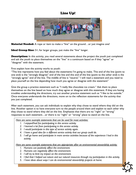### Line Up!



**Material Needed:** A rope or item to make a "line" on the ground...or just imagine one!

**Ideal Group Size:** 5+; for larger groups, just make the "line" longer.

**Description:** In this activity, you read several statements about the project the youth just completed and ask the youth to place themselves on the "line" in a continuum based on if they "agree" or "disagree" with the statement.

First explain how the activity works to youth:

"This line represents how you feel about the statements I'm going to make. This end of the line (point to one end) is the "strongly disagree" end of the line and this end of the line (point to the other end) is the "strongly agree" end of the line. The middle of line is "neutral." I will read a statement and you need to place yourself on the line depending how much you agree or disagree with the statement"

Give the group a practice statement such as "I really like chocolate ice cream." Ask them to place themselves on the line based on how much they agree or disagree with this statement. If they are having troubles understanding the directions, try out another practice statement such as "I like to be outside." Once everyone understands the directions, move on to the reflection statements for the activity that you just completed.

After each statement, you can ask individuals to explain why they chose to stand where they did on the line. Another option is to have everyone turn to the people around them and explain to each other why they chose to stand where they did on the line. Emphasize that there are no "right" or "wrong" responses to each statement…or there is no "right" or "wrong" place to stand on the line.

*Here are some example statements that can be used for most activities:*

- *1. I enjoyed/had fun participating in this service activity.*
- *2. I learned a lot from participating in this service activity.*
- *3. I would participate in this type of service activity again.*
- *4. I have a good idea for a different service activity that our group could do.*
- *5. I will go home and participate in more service activities because of the experience I had in this activity.*

*Here are some example statements that are appropriate after an environmental stewardship activity:*

- *1. Humans can positively affect the environment.*
- *2. Humans can negatively affect the environment.*
- *3. I will try to limit my impact on the environment.*
- *4. I feel that I helped out nature and our natural resources through my participation in this activity.*

**3**

*5. I have ideas about ways I can do environmental stewardship projects at home.*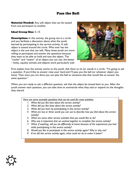### Pass the Ball

**Material Needed:** Any soft object that can be tossed from one participant to another

#### Ideal Group Size**:** 5–15

**4** 

**Description:** In this activity, the group sits in a circle and you facilitate a discussion about what the youth learned by participating in the service activity. A soft object is tossed around the circle. Who ever has the object is the one that can talk. Many times youth are more willing to participate and answer the questions because they want to be able to hold and toss the object. The "cooler" and "neater" of an object you can use, the better – funky, squishy animals and objects work particularly well.



First explain how the activity works to the youth. Ask them to sit (or stand) in a circle. "I'm going to ask a question. If you'd like to answer raise your hand and I'll pass you the ball (or whatever object you have). Then once you are done you can pass the ball to someone else that would like to answer the same question."

When you are ready to ask a different question, ask that the object be tossed back to you. After the youth answer each question, you can take time to summarize what they said or expand on the thoughts they shared.

| Here are some example questions that can be used for most activities: |  |  |
|-----------------------------------------------------------------------|--|--|
|                                                                       |  |  |

- *1. What did you like best about this service activity?*
- *2. What did you like least about this service activity?*
- *3. What did you learn by participating in this service activity?*
- *4. What are two or three words you can use to describe how you feel about this service activity?*
- *5. What are some other service activities that you would like to do?*
- *6. Why was it important that we worked together to complete this service activity?*
- *7. What, if anything, will you do differently at home because of the experiences you had while participating in this service activity?*
- *8. Would you like to participate in this service activity again? Why or why not?*
- *9. If we did this service activity again, what could we do to make it better?*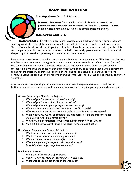# Beach Ball Reflection



### **Activity Name:** Beach Ball Reflection

**Material Needed:** An inflatable beach ball. Before the activity, use a permanent marker to subdivide the beach ball into 10-20 sections. In each section, write a reflection question (see sample questions below).

#### Ideal Group Size: 10–40

**Description:** In this activity, a beach ball is passed around between the participants who are standing in a circle. This ball has a number of different reflection questions written on it. After three "bumps" of the beach ball, the participant who has the ball reads the question that their right thumb is on. The participant then answers the question. The ball is continually passed around the circle until all the participants have the opportunity to answer at least one question.

First, ask the participants to stand in a circle and explain how the activity works. "This beach ball has lots of different questions on it relating to the service project we just completed. We will bump (or pass) this ball back and forth around the circle. After the ball has been hit three times, the person who catches it next will read the question that their right thumb is on. That person then has the opportunity to answer the question, or they can "phone a friend" and ask someone else to answer it. We will continue passing the ball back and forth until everyone (who wants to) has had an opportunity to answer a question."

Another option is to give all participants a chance to answer the question once it is read. As the facilitator, you may choose to expand or summarize answers to help the participants in their reflection.

#### *General Questions for Most Service Projects:*

- *1. What did you like best about this service activity?*
- *2. What did you like least about this service activity?*
- *3. What did you learn by participating in this service activity?*
- *4. What are some other service activities that you would like to do?*
- *5. Why was it important that we worked together to complete this service activity?*
- *6. What, if anything, will you do differently at home because of the experiences you had while participating in this service activity?*

**5**

- *7. Would you like to participate in this service activity again? Why or why not?*
- *8. If we did this service activity again, what could we do to make it better?*

*Questions for Environmental Stewardship Projects:*

- *1. What can you do to help protect the environment?*
- *2. What is one negative way humans affect nature?*
- *3. What is one positive way humans affect nature?*
- *4. Why is it important for people to help the environment?*
- *5. How did today's project help the environment?*

#### *Fun, Random Questions:*

- *1. What is your favorite type of ice cream?*
- *2. If you could go anywhere on vacation, where would it be?*
- *3. What time do you get out of bed on the weekends?*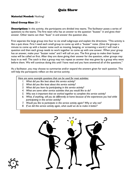# Quiz Show

#### Material Needed: Nothing!

#### Ideal Group Size: 20 +

**Description:** In this activity, the participants are divided into teams. The facilitator poses a series of questions to the teams. The first team who has an answer to the question "buzzes" in and gives their answer. Other teams can then "buzz" in and answer the question also.

First separate the large group into four to six small subgroups and explain the directions. "This activity is like a quiz show. First I need each small group to come up with a "buzzer" noise. (Give the groups a minute to come up with a buzzer noise such as mooing, beeping, or screaming a word.) I will read a question and then each group needs to work together to come up with one answer. When your group has an answer, make your "buzzer noise" and I will call on you. The first group to make their buzzer noise will be called on first. After they are done giving their answer for the question, other groups may buzz in as well. The catch is that a group may not repeat an answer that was given by a group who went before them. We will continue doing this until I have read and you have answered all of the questions."

As a facilitator, you may choose to summarize and/or expand the answers given for each question. This will help the participants reflect on the service activity.

*Here are some example questions that can be used for most activities:*

- *1. What did you like best about this service activity?*
- *2. What did you like least about this service activity?*
- *3. What did you learn by participating in this service activity?*
- *4. What are some other service activities that you would like to do?*
- *5. Why was it important that we worked together to complete this service activity?*
- *6. What, if anything, will you do differently at home because of the experiences you had while participating in this service activity?*
- *7. Would you like to participate in this service activity again? Why or why not?*
- *8. If we did this service activity again, what could we do to make it better?*



**6**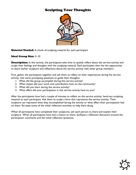### Sculpting Your Thoughts



#### **Material Needed:** A chunk of sculpting material for each participant

#### Ideal Group Size: 3–10

**Description:** In this activity, the participants take time to quietly reflect about the service activity and sculpt their feelings and thoughts with the sculpting material. Each participant then has the opportunity to share his/her sculpture and reflections about the service activity with other group members.

First, gather the participants together and ask them to reflect on their experiences during the service activity. Use some prompting questions to guide their thoughts:

- 1. What did the group accomplish during this service activity?
- 2. What impact did your work and contribution have on the community?
- 3. What did you learn during the service activity?
- 4. What effect did your participation in this service activity have on you?

After the participants have had a couple of minutes to reflect on the service activity, hand-out sculpting material to each participant. Ask them to sculpt a form that represents the service activity. Their sculpture can represent what they accomplished during the activity or what effect their participation had on them. Re-state some of the initial reflection activities to help them along.

When all participants have completed their sculptures, ask each person to share and explain their sculpture. When all participants have had a chance to share, facilitate a reflection discussion around the participants' comments and the initial reflection questions.

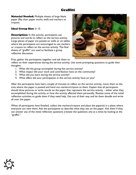## Graffiti

**Material Needed:** Multiple sheets of large blank paper (flip chart paper works well) and markers or crayons

### Ideal Group Size: 3–15

**Description:** In this activity, participants use pictures and words to reflect on the service activity. Large pieces of paper are posted on walls or on tables where the participants are encouraged to use markers or crayons to reflect on the service activity. The final sheets of "graffiti" are used to facilitate a group reflective discussion.



First, gather the participants together and ask them to

reflect on their experiences during the service activity. Use some prompting questions to guide their thoughts:

- 1. What did the group accomplish during this service activity?
- 2. What impact did your work and contribution have on the community?
- 3. What did you learn during the service activity?
- 4. What effect did your participation in this service activity have on you?

After the participants have had a couple of minutes to reflect on the service activity, move them to the area where the paper is posted and hand out markers/crayons to them. Explain that all participants should draw pictures or write words on the paper that represent the service activity – either what they accomplished during the activity or how the activity affected them personally. Restate some of the initial reflection activities to guide them if they need help. Get out of their way and let them doodle and write all over the paper.

When all participants have finished, collect the markers/crayons and place the paper(s) in a place where everyone can view them. Ask the participants to describe what they see on the paper. Ask them if they can answer any of the initial reflection questions (restate the questions one at a time) by looking at the "graffiti."

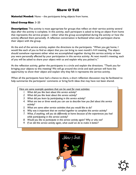# Show & Tell

**Material Needed:** None – the participants bring objects from home.

### Ideal Group Size**:** 3–20

**Description:** This activity is most appropriate for groups that reflect on their service activity several days after the activity is complete. In this activity, each participant is asked to bring an object from home that represents the service project – either what the group accomplished during the activity or how the activity affected them personally. A reflection conversation is facilitated when each participant shares their object with the group.

At the end of the service activity, explain the directions to the participants. "When you get home, I would like each of you to find an object that you can bring to next month's 4-H meeting. The object should somehow represent either what we accomplished together during this service activity or how you were personally affected by your participation in this service activity. At next month's meeting, each of you will be asked to share your object with us and explain why you picked it."

At the reflection activity, gather the participants in a circle and explain the directions. "Thank you for bringing your objects to this meeting! We will go around the circle and each person will have the opportunity to show their object and explain why they felt it represents the service activity.

When all the participants have had a chance to share, a short reflection discussion may be facilitated to help summarize the participants' comments or bring forth ideas that may have not been shared.

*Here are some example questions that can be used for most activities:*

- *1. What did you like best about this service activity?*
- *2. What did you like least about this service activity?*
- *3. What did you learn by participating in this service activity?*
- *4. What are two or three words you can use to describe how you feel about this service activity?*
- *5. What are some other service activities that you would like to do?*
- *6. Why was it important that we worked together to complete this service activity?*
- *7. What, if anything, will you do differently at home because of the experiences you had while participating in this service activity?*
- *8. Would you like to participate in this service activity again? Why or why not?*
- *9. If we did this service activity again, what could we do to make it better?*



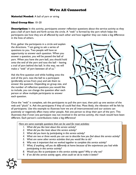## We're All Connected

Material Needed**:** A ball of yarn or string

### Ideal Group Size**:** 10–20

**Description:** In this activity, participants answer reflection questions about the service activity as they pass a ball of yarn back and forth across the circle. A "web" is formed by the yarn which helps the participants see how they are all affected by each other and how together they can make a big difference in the lives of others.

First, gather the participants in a circle and explain the directions. "I am going to ask a series of questions to you. Two people will have an opportunity to answer each question. When you answer a question, you will be passed the ball of yarn. When you have the yarn ball, you should hold onto the end of the yarn and toss the ball – leaving a trail of yarn behind the ball. In this way, we will make a "web" of yarn between all of us."

Ask the first question and while holding onto the end of the yarn, toss the ball to a participant (preferably across from you) and ask them to answer the question. Depending on group size, and the number of reflection questions you would like to include, you can change the question after each person or allow multiple participants to answer each question.



Once the "web" is complete, ask the participants to pull the yarn taut, then pick up one section of the web and "pluck" it. Ask the participants if they all could feel that. Most likely, the vibration will be felt by all participants. Use this example to illustrate how we are all interconnected and our actions can positively or negatively affect many other people. Ask one person to drop their part of the yarn. This illustrates that if even one participant was not involved in the service activity, the result would have been different. Each person's contributions make a big difference!

#### *Here are some example questions that can be used for most activities:*

- *1. What did you like best about this service activity?*
- *2. What did you like least about this service activity?*
- *3. What did you learn by participating in this service activity?*
- *4. What are two or three words you can use to describe how you feel about this service activity?*
- *5. What are some other service activities that you would like to do?*
- *6. Why was it important that we worked together to complete this service activity?*
- *7. What, if anything, will you do differently at home because of the experiences you had while participating in this service activity?*
- *8. Would you like to participate in this service activity again? Why or why not?*
- *9. If we did this service activity again, what could we do to make it better?*

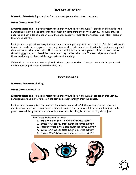# Before & After

**Material Needed:** A paper plate for each participant and markers or crayons

#### Ideal Group Size: 3–30

**Description:** This is a good project for younger youth (pre-K through  $3<sup>rd</sup>$  grade). In this activity, the participants reflect on the difference they made by completing the service activity. Through drawing pictures on both sides of a paper plate, the participants will illustrate the "before" and "after" status of the service activity.

First, gather the participants together and hand-out one paper plate to each person. Ask the participants to use the markers or crayons to draw a picture of the environment or situation before they completed their service activity on one side. Then, ask the participants to draw a picture of the environment or situation after they completed their service activity on the other side. The second picture should illustrate the impact they had through their service activity.

When all the participants are completed, ask each person to share their pictures with the group and explain why they chose to draw what they did.

### Five Senses

Material Needed: Nothing!

#### Ideal Group Size: 3–15

**Description:** This is a good project for younger youth (pre-K through  $2^{nd}$  grade). In this activity, participants are asked to reflect on the service activity through their five senses.

First, gather the group together and ask them to form a circle. Ask the participants the following questions and allow each participant a chance to answer the question. If desired, a soft object can be passed around the group so that the only person who is talking is the one holding the object.

#### *Five Senses Reflection Questions:*

- *1. Sight: What did you see during the service activity?*
- *2. Smell: What did you smell during the service activity?*
- *3. Hearing: What did you hear during the service activity?*
- *4. Taste: What did you taste during the service activity?*
- **5.** *Feeling: What did you feel during the service activity*?



**11**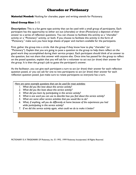### Charades or Pictionary

**Material Needed:** Nothing for charades; paper and writing utensils for Pictionary.

#### Ideal Group Size: 5-15

**Description:** This is a fun game type activity that can be used with a small group of participants. Each participant has the opportunity to either act out (charades) or draw (Pictionary) a depiction of their answer to a series of reflection questions. You can choose to facilitate this activity as a "charades" activity or a "Pictionary" activity, or both. If you choose to facilitate this activity in the form of "Pictionary," make sure you have large sheets of paper and markers available for the participants.

First, gather the group into a circle. Ask the group if they know how to play "charades" (or "Pictionary"). Explain that you are going to pose a question to the group to help them reflect on the good work they accomplished during their service project. Each participant should think of an answer to the question, but not share that answer with anyone else. Once time has passed for the group to reflect on the posed question, explain that you will ask for a volunteer to act out (or draw) their answer for the group. It is then the group's job to guess the participant's answer.

As the facilitator, you can give each participant a turn to act (or draw) their answer for each reflection question posed, or you can ask for one to two participants to act (or draw) their answer for each reflection question posed. Just make sure to rotate participants so everyone has a turn.

*Here are some example questions that can be used for most activities:*

- *1. What did you like best about this service activity?*
- *2. What did you like least about this service activity?*
- *3. What did you learn by participating in this service activity?*
- *4. What is one word you can use to describe how you feel about this service activity?*
- *5. What are some other service activities that you would like to do?*
- *6. What, if anything, will you do differently at home because of the experiences you had while participating in this service activity?*
- *7. If we did this service activity again, what could we do to make it better?*

*PICTIONARY IS A TRADEMARK OF Pictionary, Inc. © 1993, 1999 Pictionary Incorporated. All Rights Reserved.*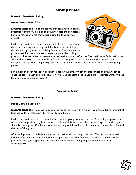## Group Photo

Material Needed: Nothing!

Ideal Group Size: 3-50

**Description:** This is a short activity that can prelude a formal reflection discussion. It is a good activity to help the participants begin to reflect on what they accomplished in their service project.

Gather the participants in a group and ask them to think about the service activity they completed. Explain to the participants that they are going to create a living "snap shot" of their service project. Ask for one volunteer to start the photo by striking a



pose that illustrates their involvement in the service project. After the first participants finds their pose ask another person to join on to help "build" the living snap shot. Continue in this manner until everyone has a place in the photograph. Once everyone is in place, use a real camera to take a group photo!

For a more in depth reflection experience, follow this activity with another reflection activity such as "pass the ball," "beach ball reflection," or "we're all connected." (See additional Reflection Activity Ideas for directions to these activities.)

# Service Skit

### Material Needed: Nothing

### Ideal Group Size: 8-50

**Description:** This is a great reflection activity to facilitate with a group if you have a longer amount of time set aside for reflection (30 minutes to one hour).

Gather the participants together and split them into groups of three or four. Ask each group to reflect on the service project they just completed. Their task is to portray their service experience through a skit. Give each group 10 minutes to plan what they will do and up to five minutes to share their skit with the rest of the group.

After each presentation, facilitate a group discussion with all the participants. The discussion should include reflection questions and include an opportunity for the "audience" to share reactions to the presented skit, give suggestions for effective future projects, and give positive feedback to the actor/actresses.

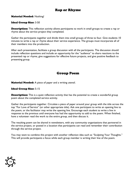# Rap or Rhyme

Material Needed**:** Nothing!

#### Ideal Group Size: 3-50

**Description:** This reflection activity allows participants to work in small groups to create a rap or rhyme about the service project they completed.

Gather the participants together and divide them into small groups of three to four. Give students 10 minutes to write a rap or rhyme about their service experience. The groups must incorporate all of their members into the production.

After each presentation, facilitate a group discussion with all the participants. The discussion should include reflection questions and include an opportunity for the "audience" to share reactions to the presented rap or rhyme, give suggestions for effective future projects, and give positive feedback to presenting group.

### Group Poem

**Material Needed:** A piece of paper and a writing utensil.

#### Ideal Group Size: 5-15

**Description:** This is a quiet reflection activity that has the potential to create a wonderful group poem about the completed service activity.

Gather the participants together. Circulate a piece of paper around your group with the title across the top "For Love of Service" (or other appropriate title). Ask one participant to write an opening line to the poem, or the facilitator may write the opening line. Encourage each student to write a line in response to the previous until everyone has had the opportunity to add to the poem. When finished, have a volunteer read the work to the entire group, and then discuss it.

The resulting poem can be shared in newsletters, with any community organizations that partnered in the service project, or posted in a location that participants can read and remember their contribution through the service project.

You may want to combine this project with another reflection idea such as "Sculpting Your Thoughts." This will provide participants a focus while each group member is writing their line of the poem.

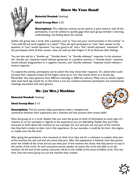# Show Me Your Hand!



Material Needed: Nothing!

### Ideal Group Size: 2-25

**Description:** This reflection activity can be used as a quick check-in with all the participants. It can be utilized to quickly gage what each group member is learning, understanding, and feeling about the activity.

Gather the group into a circle. Ask a question, such as "how was your communication in this activity" or "how well did we work together as a team?" Then ask each participant to "rate" their answer to the question. A "one" would represent "not very good at all" and a "five" would represent "awesome!" As the participants think of their answer, they can hold up their fingers (1-5) to illustrate their feelings.

You can also ask for a "thumbs up," "thumbs down," or "thumbs sideways" response. In this situation, the "thumbs up" response would indicate agreement or a positive reaction, a "thumbs down" response would indicate disagreement or a negative reaction, and "thumbs sideways" response would indicate a neutral response.

To expand the activity, participants can be asked why they chose their response. Or, asked what could increase their response (make all five fingers stand up or turn that thumb down to a thumb up). Remember that many gestures have different meanings in different cultures. Make sure to clearly explain what each hand sign stands for so that there is not any confusion between participants and unintentional meanings associated with each gesture.

# Mr. (or Mrs.) Machine

Material Needed: Nothing!

### Ideal Group Size: 5-15



**Description:** This fun activity helps participants make a metaphorical connection between their experience and a machine and also practice their drama skills!

Have the group sit in a circle. Explain that you want the group to think of themselves as some type of a machine (a car for example) in regards to the experience you are debriefing. Explain that you'd like everyone to think about this machine (in our example, the car) and pick out one part of the machine that they feel is similar to their role in the experience. (In our example, it could be the horn, the engine, or maybe even the flat tire!)

After giving the participants a few moments to think of an idea, ask for a volunteer to explain what part of the machine she was and why she chose that part. After the explanation is finished, have that person enter the middle of the circle and act out what part of the machine she chose. Ask that person to stay in the center of the circle. As each successive person speaks, he enters the circle and adds on to the machine. At the end of the activity, everyone will be in the middle of the (now invisible) circle. One last time, have the entire group act out the machine they created.

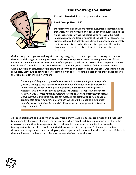# The Evolving Evaluation



**Material Needed:** Flip chart paper and markers

**Ideal Group Size:** 15-50

**Description:** This is a more formal evaluation/reflection activity that works well for groups of older youth and adults. It helps the group leaders learn what the participants felt were the most important parts and learning points of the activity or lesson. The primary value of this activity is it allows the participants to create the topics and discuss what they feel is important. The topics chosen and the depth of discussion will often surprise the facilitators.

Gather the group together and explain that they are going to have an opportunity to expand on what they learned through the activity or lesson and also pose questions to other group members. Allow individuals several minutes to think of a specific topic (in regards to the project they completed or new ideas learned) they'd like to discuss further with the other group members. When a person comes up with a question or discussion topic, ask them to write it on a piece of flip chart paper. Depending on the group size, allow two to four people to come up with topics. Post the pieces of flip chart paper around the room so everyone can view them.

*For example, if the group organized a countywide food drive, participants may ponder questions and topics such as: how could the number of donated items be increased in future years; did we reach all targeted populations in the county; was the project a success; or was it worth our time to complete this project? This reflection activity also works very well for more formalized learning lessons, such as an officer training session. In this example, participants may ponder questions and topics such as: how do you get adults to stop talking during the meeting; why did you want to become a club officer; what do you like best about being a club officer; or what is your greatest challenge in being a club officer?*

Ask each participant to decide which question/topic they would like to discuss further and direct them to go stand by that piece of paper. The participants who created each topic/question will facilitate the discussion around their topic/question. Give each small group about 10 minutes to discuss their topic/question. Group ideas should be jotted down on the flip chart paper. At the end of the time allowed, a spokesperson for each small group then reports their ideas back to the entire team. If there is time and interest, the leader can offer another round of topics for discussion.

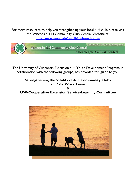For more resources to help you strengthening your local 4-H club, please visit the Wisconsin 4-H Community Club Central Website at: <http://www.uwex.edu/ces/4h/clubs/index.cfm>



The University of Wisconsin-Extension 4-H Youth Development Program, in collaboration with the following groups, has provided this guide to you:

## **Strengthening the Vitality of 4-H Community Clubs 2006-07 Work Team**

& **UW-Cooperative Extension Service-Learning Committee**